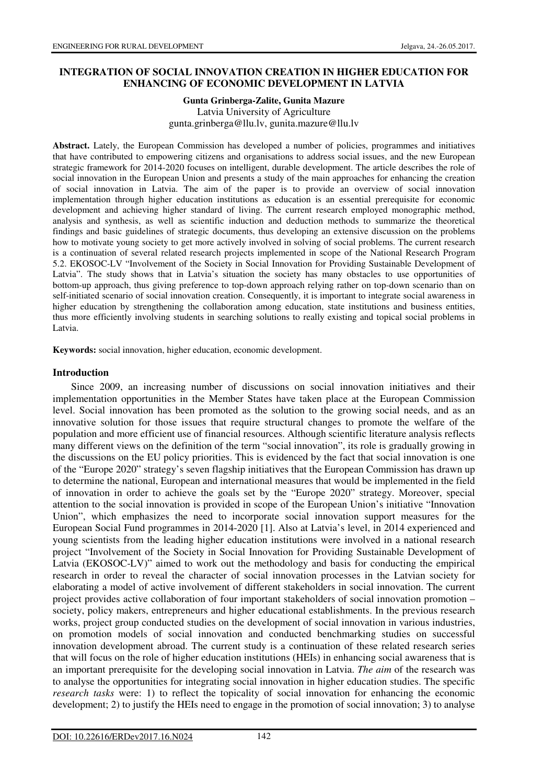# **INTEGRATION OF SOCIAL INNOVATION CREATION IN HIGHER EDUCATION FOR ENHANCING OF ECONOMIC DEVELOPMENT IN LATVIA**

#### **Gunta Grinberga-Zalite, Gunita Mazure**  Latvia University of Agriculture gunta.grinberga@llu.lv, gunita.mazure@llu.lv

**Abstract.** Lately, the European Commission has developed a number of policies, programmes and initiatives that have contributed to empowering citizens and organisations to address social issues, and the new European strategic framework for 2014-2020 focuses on intelligent, durable development. The article describes the role of social innovation in the European Union and presents a study of the main approaches for enhancing the creation of social innovation in Latvia. The aim of the paper is to provide an overview of social innovation implementation through higher education institutions as education is an essential prerequisite for economic development and achieving higher standard of living. The current research employed monographic method, analysis and synthesis, as well as scientific induction and deduction methods to summarize the theoretical findings and basic guidelines of strategic documents, thus developing an extensive discussion on the problems how to motivate young society to get more actively involved in solving of social problems. The current research is a continuation of several related research projects implemented in scope of the National Research Program 5.2. EKOSOC-LV "Involvement of the Society in Social Innovation for Providing Sustainable Development of Latvia". The study shows that in Latvia's situation the society has many obstacles to use opportunities of bottom-up approach, thus giving preference to top-down approach relying rather on top-down scenario than on self-initiated scenario of social innovation creation. Consequently, it is important to integrate social awareness in higher education by strengthening the collaboration among education, state institutions and business entities, thus more efficiently involving students in searching solutions to really existing and topical social problems in Latvia.

**Keywords:** social innovation, higher education, economic development.

# **Introduction**

Since 2009, an increasing number of discussions on social innovation initiatives and their implementation opportunities in the Member States have taken place at the European Commission level. Social innovation has been promoted as the solution to the growing social needs, and as an innovative solution for those issues that require structural changes to promote the welfare of the population and more efficient use of financial resources. Although scientific literature analysis reflects many different views on the definition of the term "social innovation", its role is gradually growing in the discussions on the EU policy priorities. This is evidenced by the fact that social innovation is one of the "Europe 2020" strategy's seven flagship initiatives that the European Commission has drawn up to determine the national, European and international measures that would be implemented in the field of innovation in order to achieve the goals set by the "Europe 2020" strategy. Moreover, special attention to the social innovation is provided in scope of the European Union's initiative "Innovation Union", which emphasizes the need to incorporate social innovation support measures for the European Social Fund programmes in 2014-2020 [1]. Also at Latvia's level, in 2014 experienced and young scientists from the leading higher education institutions were involved in a national research project "Involvement of the Society in Social Innovation for Providing Sustainable Development of Latvia (EKOSOC-LV)" aimed to work out the methodology and basis for conducting the empirical research in order to reveal the character of social innovation processes in the Latvian society for elaborating a model of active involvement of different stakeholders in social innovation. The current project provides active collaboration of four important stakeholders of social innovation promotion – society, policy makers, entrepreneurs and higher educational establishments. In the previous research works, project group conducted studies on the development of social innovation in various industries, on promotion models of social innovation and conducted benchmarking studies on successful innovation development abroad. The current study is a continuation of these related research series that will focus on the role of higher education institutions (HEIs) in enhancing social awareness that is an important prerequisite for the developing social innovation in Latvia. *The aim* of the research was to analyse the opportunities for integrating social innovation in higher education studies. The specific *research tasks* were: 1) to reflect the topicality of social innovation for enhancing the economic development; 2) to justify the HEIs need to engage in the promotion of social innovation; 3) to analyse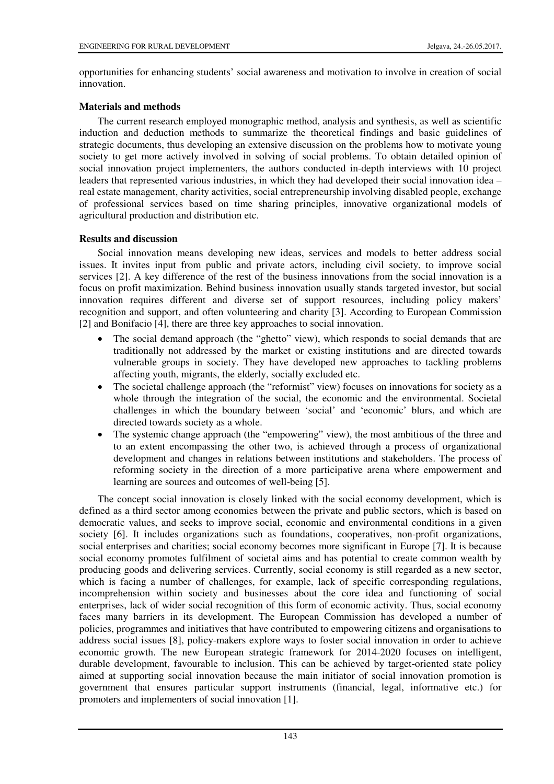opportunities for enhancing students' social awareness and motivation to involve in creation of social innovation.

# **Materials and methods**

The current research employed monographic method, analysis and synthesis, as well as scientific induction and deduction methods to summarize the theoretical findings and basic guidelines of strategic documents, thus developing an extensive discussion on the problems how to motivate young society to get more actively involved in solving of social problems. To obtain detailed opinion of social innovation project implementers, the authors conducted in-depth interviews with 10 project leaders that represented various industries, in which they had developed their social innovation idea – real estate management, charity activities, social entrepreneurship involving disabled people, exchange of professional services based on time sharing principles, innovative organizational models of agricultural production and distribution etc.

# **Results and discussion**

Social innovation means developing new ideas, services and models to better address social issues. It invites input from public and private actors, including civil society, to improve social services [2]. A key difference of the rest of the business innovations from the social innovation is a focus on profit maximization. Behind business innovation usually stands targeted investor, but social innovation requires different and diverse set of support resources, including policy makers' recognition and support, and often volunteering and charity [3]. According to European Commission [2] and Bonifacio [4], there are three key approaches to social innovation.

- The social demand approach (the "ghetto" view), which responds to social demands that are traditionally not addressed by the market or existing institutions and are directed towards vulnerable groups in society. They have developed new approaches to tackling problems affecting youth, migrants, the elderly, socially excluded etc.
- The societal challenge approach (the "reformist" view) focuses on innovations for society as a whole through the integration of the social, the economic and the environmental. Societal challenges in which the boundary between 'social' and 'economic' blurs, and which are directed towards society as a whole.
- The systemic change approach (the "empowering" view), the most ambitious of the three and to an extent encompassing the other two, is achieved through a process of organizational development and changes in relations between institutions and stakeholders. The process of reforming society in the direction of a more participative arena where empowerment and learning are sources and outcomes of well-being [5].

The concept social innovation is closely linked with the social economy development, which is defined as a third sector among economies between the private and public sectors, which is based on democratic values, and seeks to improve social, economic and environmental conditions in a given society [6]. It includes organizations such as foundations, cooperatives, non-profit organizations, social enterprises and charities; social economy becomes more significant in Europe [7]. It is because social economy promotes fulfilment of societal aims and has potential to create common wealth by producing goods and delivering services. Currently, social economy is still regarded as a new sector, which is facing a number of challenges, for example, lack of specific corresponding regulations, incomprehension within society and businesses about the core idea and functioning of social enterprises, lack of wider social recognition of this form of economic activity. Thus, social economy faces many barriers in its development. The European Commission has developed a number of policies, programmes and initiatives that have contributed to empowering citizens and organisations to address social issues [8], policy-makers explore ways to foster social innovation in order to achieve economic growth. The new European strategic framework for 2014-2020 focuses on intelligent, durable development, favourable to inclusion. This can be achieved by target-oriented state policy aimed at supporting social innovation because the main initiator of social innovation promotion is government that ensures particular support instruments (financial, legal, informative etc.) for promoters and implementers of social innovation [1].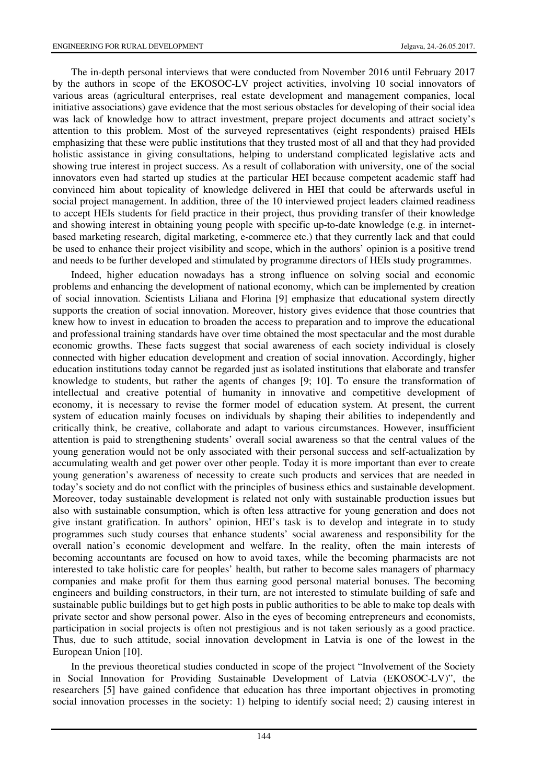The in-depth personal interviews that were conducted from November 2016 until February 2017 by the authors in scope of the EKOSOC-LV project activities, involving 10 social innovators of various areas (agricultural enterprises, real estate development and management companies, local initiative associations) gave evidence that the most serious obstacles for developing of their social idea was lack of knowledge how to attract investment, prepare project documents and attract society's attention to this problem. Most of the surveyed representatives (eight respondents) praised HEIs emphasizing that these were public institutions that they trusted most of all and that they had provided holistic assistance in giving consultations, helping to understand complicated legislative acts and showing true interest in project success. As a result of collaboration with university, one of the social innovators even had started up studies at the particular HEI because competent academic staff had convinced him about topicality of knowledge delivered in HEI that could be afterwards useful in social project management. In addition, three of the 10 interviewed project leaders claimed readiness to accept HEIs students for field practice in their project, thus providing transfer of their knowledge and showing interest in obtaining young people with specific up-to-date knowledge (e.g. in internetbased marketing research, digital marketing, e-commerce etc.) that they currently lack and that could be used to enhance their project visibility and scope, which in the authors' opinion is a positive trend and needs to be further developed and stimulated by programme directors of HEIs study programmes.

Indeed, higher education nowadays has a strong influence on solving social and economic problems and enhancing the development of national economy, which can be implemented by creation of social innovation. Scientists Liliana and Florina [9] emphasize that educational system directly supports the creation of social innovation. Moreover, history gives evidence that those countries that knew how to invest in education to broaden the access to preparation and to improve the educational and professional training standards have over time obtained the most spectacular and the most durable economic growths. These facts suggest that social awareness of each society individual is closely connected with higher education development and creation of social innovation. Accordingly, higher education institutions today cannot be regarded just as isolated institutions that elaborate and transfer knowledge to students, but rather the agents of changes [9; 10]. To ensure the transformation of intellectual and creative potential of humanity in innovative and competitive development of economy, it is necessary to revise the former model of education system. At present, the current system of education mainly focuses on individuals by shaping their abilities to independently and critically think, be creative, collaborate and adapt to various circumstances. However, insufficient attention is paid to strengthening students' overall social awareness so that the central values of the young generation would not be only associated with their personal success and self-actualization by accumulating wealth and get power over other people. Today it is more important than ever to create young generation's awareness of necessity to create such products and services that are needed in today's society and do not conflict with the principles of business ethics and sustainable development. Moreover, today sustainable development is related not only with sustainable production issues but also with sustainable consumption, which is often less attractive for young generation and does not give instant gratification. In authors' opinion, HEI's task is to develop and integrate in to study programmes such study courses that enhance students' social awareness and responsibility for the overall nation's economic development and welfare. In the reality, often the main interests of becoming accountants are focused on how to avoid taxes, while the becoming pharmacists are not interested to take holistic care for peoples' health, but rather to become sales managers of pharmacy companies and make profit for them thus earning good personal material bonuses. The becoming engineers and building constructors, in their turn, are not interested to stimulate building of safe and sustainable public buildings but to get high posts in public authorities to be able to make top deals with private sector and show personal power. Also in the eyes of becoming entrepreneurs and economists, participation in social projects is often not prestigious and is not taken seriously as a good practice. Thus, due to such attitude, social innovation development in Latvia is one of the lowest in the European Union [10].

In the previous theoretical studies conducted in scope of the project "Involvement of the Society in Social Innovation for Providing Sustainable Development of Latvia (EKOSOC-LV)", the researchers [5] have gained confidence that education has three important objectives in promoting social innovation processes in the society: 1) helping to identify social need; 2) causing interest in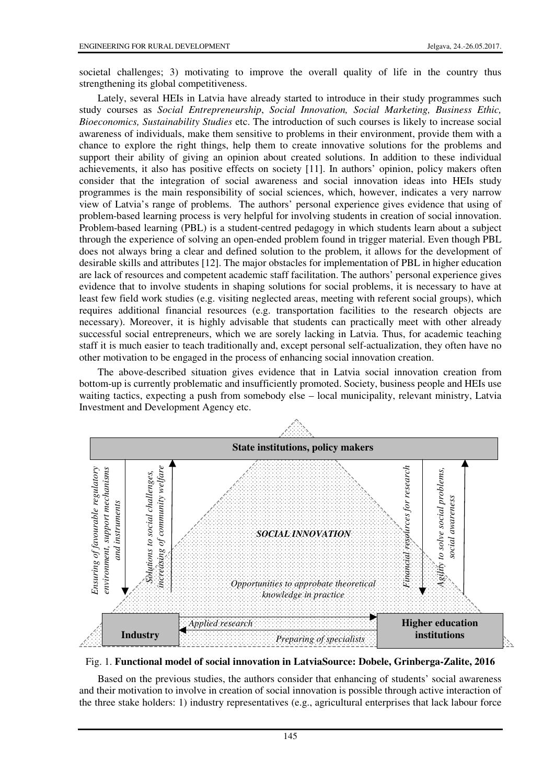societal challenges; 3) motivating to improve the overall quality of life in the country thus strengthening its global competitiveness.

Lately, several HEIs in Latvia have already started to introduce in their study programmes such study courses as *Social Entrepreneurship*, *Social Innovation, Social Marketing, Business Ethic, Bioeconomics, Sustainability Studies* etc. The introduction of such courses is likely to increase social awareness of individuals, make them sensitive to problems in their environment, provide them with a chance to explore the right things, help them to create innovative solutions for the problems and support their ability of giving an opinion about created solutions. In addition to these individual achievements, it also has positive effects on society [11]. In authors' opinion, policy makers often consider that the integration of social awareness and social innovation ideas into HEIs study programmes is the main responsibility of social sciences, which, however, indicates a very narrow view of Latvia's range of problems. The authors' personal experience gives evidence that using of problem-based learning process is very helpful for involving students in creation of social innovation. Problem-based learning (PBL) is a student-centred pedagogy in which students learn about a subject through the experience of solving an open-ended problem found in trigger material. Even though PBL does not always bring a clear and defined solution to the problem, it allows for the development of desirable skills and attributes [12]. The major obstacles for implementation of PBL in higher education are lack of resources and competent academic staff facilitation. The authors' personal experience gives evidence that to involve students in shaping solutions for social problems, it is necessary to have at least few field work studies (e.g. visiting neglected areas, meeting with referent social groups), which requires additional financial resources (e.g. transportation facilities to the research objects are necessary). Moreover, it is highly advisable that students can practically meet with other already successful social entrepreneurs, which we are sorely lacking in Latvia. Thus, for academic teaching staff it is much easier to teach traditionally and, except personal self-actualization, they often have no other motivation to be engaged in the process of enhancing social innovation creation.

The above-described situation gives evidence that in Latvia social innovation creation from bottom-up is currently problematic and insufficiently promoted. Society, business people and HEIs use waiting tactics, expecting a push from somebody else – local municipality, relevant ministry, Latvia Investment and Development Agency etc.



Fig. 1. **Functional model of social innovation in LatviaSource: Dobele, Grinberga-Zalite, 2016**

Based on the previous studies, the authors consider that enhancing of students' social awareness and their motivation to involve in creation of social innovation is possible through active interaction of the three stake holders: 1) industry representatives (e.g., agricultural enterprises that lack labour force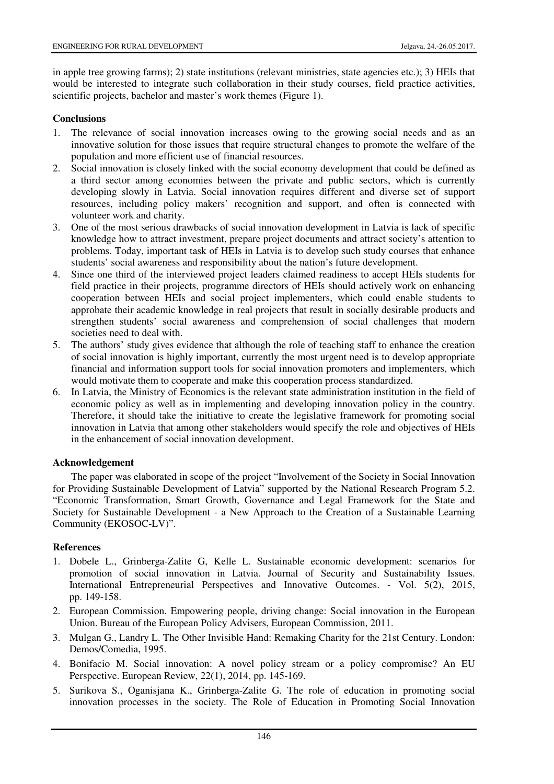in apple tree growing farms); 2) state institutions (relevant ministries, state agencies etc.); 3) HEIs that would be interested to integrate such collaboration in their study courses, field practice activities, scientific projects, bachelor and master's work themes (Figure 1).

#### **Conclusions**

- 1. The relevance of social innovation increases owing to the growing social needs and as an innovative solution for those issues that require structural changes to promote the welfare of the population and more efficient use of financial resources.
- 2. Social innovation is closely linked with the social economy development that could be defined as a third sector among economies between the private and public sectors, which is currently developing slowly in Latvia. Social innovation requires different and diverse set of support resources, including policy makers' recognition and support, and often is connected with volunteer work and charity.
- 3. One of the most serious drawbacks of social innovation development in Latvia is lack of specific knowledge how to attract investment, prepare project documents and attract society's attention to problems. Today, important task of HEIs in Latvia is to develop such study courses that enhance students' social awareness and responsibility about the nation's future development.
- 4. Since one third of the interviewed project leaders claimed readiness to accept HEIs students for field practice in their projects, programme directors of HEIs should actively work on enhancing cooperation between HEIs and social project implementers, which could enable students to approbate their academic knowledge in real projects that result in socially desirable products and strengthen students' social awareness and comprehension of social challenges that modern societies need to deal with.
- 5. The authors' study gives evidence that although the role of teaching staff to enhance the creation of social innovation is highly important, currently the most urgent need is to develop appropriate financial and information support tools for social innovation promoters and implementers, which would motivate them to cooperate and make this cooperation process standardized.
- 6. In Latvia, the Ministry of Economics is the relevant state administration institution in the field of economic policy as well as in implementing and developing innovation policy in the country. Therefore, it should take the initiative to create the legislative framework for promoting social innovation in Latvia that among other stakeholders would specify the role and objectives of HEIs in the enhancement of social innovation development.

#### **Acknowledgement**

The paper was elaborated in scope of the project "Involvement of the Society in Social Innovation for Providing Sustainable Development of Latvia" supported by the National Research Program 5.2. "Economic Transformation, Smart Growth, Governance and Legal Framework for the State and Society for Sustainable Development - a New Approach to the Creation of a Sustainable Learning Community (EKOSOC-LV)".

# **References**

- 1. Dobele L., Grinberga-Zalite G, Kelle L. Sustainable economic development: scenarios for promotion of social innovation in Latvia. Journal of Security and Sustainability Issues. International Entrepreneurial Perspectives and Innovative Outcomes. - Vol. 5(2), 2015, pp. 149-158.
- 2. European Commission. Empowering people, driving change: Social innovation in the European Union. Bureau of the European Policy Advisers, European Commission, 2011.
- 3. Mulgan G., Landry L. The Other Invisible Hand: Remaking Charity for the 21st Century. London: Demos/Comedia, 1995.
- 4. Bonifacio M. Social innovation: A novel policy stream or a policy compromise? An EU Perspective. European Review, 22(1), 2014, pp. 145-169.
- 5. Surikova S., Oganisjana K., Grinberga-Zalite G. The role of education in promoting social innovation processes in the society. The Role of Education in Promoting Social Innovation